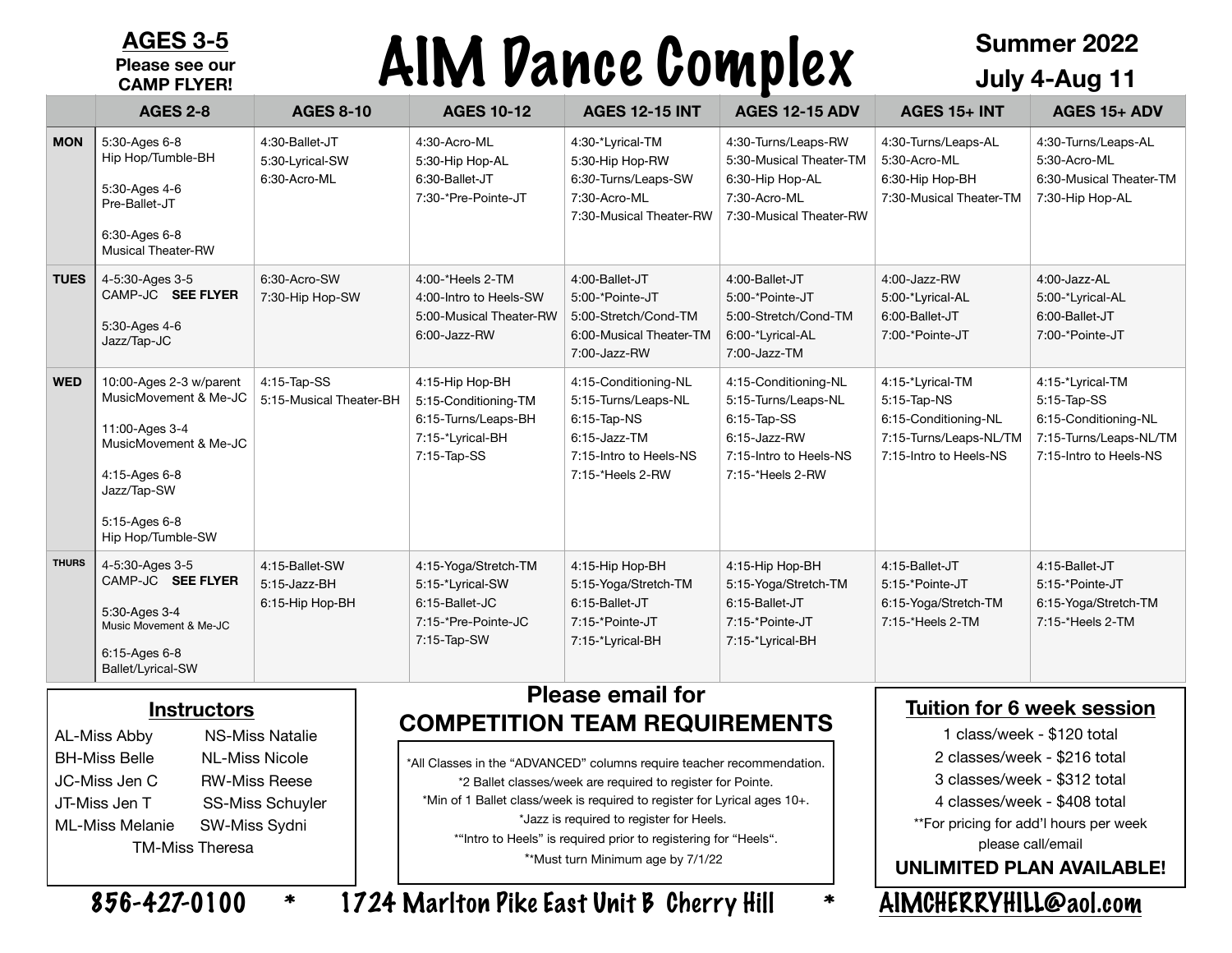#### **AGES 3-5 Please see our CAMP FLYER!**

# AIM Dance Complex

### **Summer 2022 July 4-Aug 11**

|              | <b>AGES 2-8</b>                                                                                                                                                   | <b>AGES 8-10</b>                                  | <b>AGES 10-12</b>                                                                                      | <b>AGES 12-15 INT</b>                                                                                                       | <b>AGES 12-15 ADV</b>                                                                                                       | $AGES$ 15+ INT                                                                                              | AGES 15+ ADV                                                                                                |
|--------------|-------------------------------------------------------------------------------------------------------------------------------------------------------------------|---------------------------------------------------|--------------------------------------------------------------------------------------------------------|-----------------------------------------------------------------------------------------------------------------------------|-----------------------------------------------------------------------------------------------------------------------------|-------------------------------------------------------------------------------------------------------------|-------------------------------------------------------------------------------------------------------------|
| <b>MON</b>   | 5:30-Ages 6-8<br>Hip Hop/Tumble-BH<br>5:30-Ages 4-6<br>Pre-Ballet-JT<br>6:30-Ages 6-8<br><b>Musical Theater-RW</b>                                                | 4:30-Ballet-JT<br>5:30-Lyrical-SW<br>6:30-Acro-ML | 4:30-Acro-ML<br>5:30-Hip Hop-AL<br>6:30-Ballet-JT<br>7:30-*Pre-Pointe-JT                               | 4:30-*Lyrical-TM<br>5:30-Hip Hop-RW<br>6:30-Turns/Leaps-SW<br>7:30-Acro-ML<br>7:30-Musical Theater-RW                       | 4:30-Turns/Leaps-RW<br>5:30-Musical Theater-TM<br>6:30-Hip Hop-AL<br>7:30-Acro-ML<br>7:30-Musical Theater-RW                | 4:30-Turns/Leaps-AL<br>5:30-Acro-ML<br>6:30-Hip Hop-BH<br>7:30-Musical Theater-TM                           | 4:30-Turns/Leaps-AL<br>5:30-Acro-ML<br>6:30-Musical Theater-TM<br>7:30-Hip Hop-AL                           |
| <b>TUES</b>  | 4-5:30-Ages 3-5<br>CAMP-JC SEE FLYER<br>5:30-Ages 4-6<br>Jazz/Tap-JC                                                                                              | 6:30-Acro-SW<br>7:30-Hip Hop-SW                   | 4:00-*Heels 2-TM<br>4:00-Intro to Heels-SW<br>5:00-Musical Theater-RW<br>6:00-Jazz-RW                  | 4:00-Ballet-JT<br>5:00-*Pointe-JT<br>5:00-Stretch/Cond-TM<br>6:00-Musical Theater-TM<br>7:00-Jazz-RW                        | 4:00-Ballet-JT<br>5:00-*Pointe-JT<br>5:00-Stretch/Cond-TM<br>6:00-*Lyrical-AL<br>7:00-Jazz-TM                               | 4:00-Jazz-RW<br>5:00-*Lyrical-AL<br>6:00-Ballet-JT<br>7:00-*Pointe-JT                                       | 4:00-Jazz-AL<br>5:00-*Lyrical-AL<br>6:00-Ballet-JT<br>7:00-*Pointe-JT                                       |
| <b>WED</b>   | 10:00-Ages 2-3 w/parent<br>MusicMovement & Me-JC<br>11:00-Ages 3-4<br>MusicMovement & Me-JC<br>4:15-Ages 6-8<br>Jazz/Tap-SW<br>5:15-Ages 6-8<br>Hip Hop/Tumble-SW | 4:15-Tap-SS<br>5:15-Musical Theater-BH            | 4:15-Hip Hop-BH<br>5:15-Conditioning-TM<br>6:15-Turns/Leaps-BH<br>7:15-*Lyrical-BH<br>7:15-Tap-SS      | 4:15-Conditioning-NL<br>5:15-Turns/Leaps-NL<br>6:15-Tap-NS<br>$6:15$ -Jazz-TM<br>7:15-Intro to Heels-NS<br>7:15-*Heels 2-RW | 4:15-Conditioning-NL<br>5:15-Turns/Leaps-NL<br>$6:15$ -Tap-SS<br>6:15-Jazz-RW<br>7:15-Intro to Heels-NS<br>7:15-*Heels 2-RW | 4:15-*Lyrical-TM<br>5:15-Tap-NS<br>6:15-Conditioning-NL<br>7:15-Turns/Leaps-NL/TM<br>7:15-Intro to Heels-NS | 4:15-*Lyrical-TM<br>5:15-Tap-SS<br>6:15-Conditioning-NL<br>7:15-Turns/Leaps-NL/TM<br>7:15-Intro to Heels-NS |
| <b>THURS</b> | 4-5:30-Ages 3-5<br>CAMP-JC SEE FLYER<br>5:30-Ages 3-4<br>Music Movement & Me-JC<br>6:15-Ages 6-8<br>Ballet/Lyrical-SW                                             | 4:15-Ballet-SW<br>5:15-Jazz-BH<br>6:15-Hip Hop-BH | 4:15-Yoga/Stretch-TM<br>5:15-*Lyrical-SW<br>6:15-Ballet-JC<br>7:15-*Pre-Pointe-JC<br>7:15-Tap-SW<br>-- | 4:15-Hip Hop-BH<br>5:15-Yoga/Stretch-TM<br>6:15-Ballet-JT<br>7:15-*Pointe-JT<br>7:15-*Lyrical-BH<br>. . <i>.</i>            | 4:15-Hip Hop-BH<br>5:15-Yoga/Stretch-TM<br>6:15-Ballet-JT<br>7:15 *Pointe-JT<br>7:15-*Lyrical-BH                            | 4:15 Ballet JT<br>5:15 *Pointe JT<br>6:15-Yoga/Stretch-TM<br>7:15-*Heels 2-TM                               | 4:15-Ballet-JT<br>5:15 *Pointe-JT<br>6:15-Yoga/Stretch-TM<br>7:15-*Heels 2-TM                               |

#### **Instructors**

AL-Miss Abby NS-Miss Natalie BH-Miss Belle NL-Miss Nicole JC-Miss Jen C RW-Miss Reese JT-Miss Jen T SS-Miss Schuyler ML-Miss Melanie SW-Miss Sydni TM-Miss Theresa

#### **Please email for COMPETITION TEAM REQUIREMENTS**

\*All Classes in the "ADVANCED" columns require teacher recommendation. \*2 Ballet classes/week are required to register for Pointe. \*Min of 1 Ballet class/week is required to register for Lyrical ages 10+. \*Jazz is required to register for Heels. \*"Intro to Heels" is required prior to registering for "Heels". \*\*Must turn Minimum age by 7/1/22

#### **Tuition for 6 week session**

1 class/week - \$120 total

- 2 classes/week \$216 total
- 3 classes/week \$312 total
- 4 classes/week \$408 total

\*\*For pricing for add'l hours per week please call/email

**UNLIMITED PLAN AVAILABLE!**

856-427-0100 \* 1724 Marlton Pike East Unit B Cherry Hill \* [AIMCHERRYHILL@aol.com](mailto:AIMCHERRYHILL@aol.com)